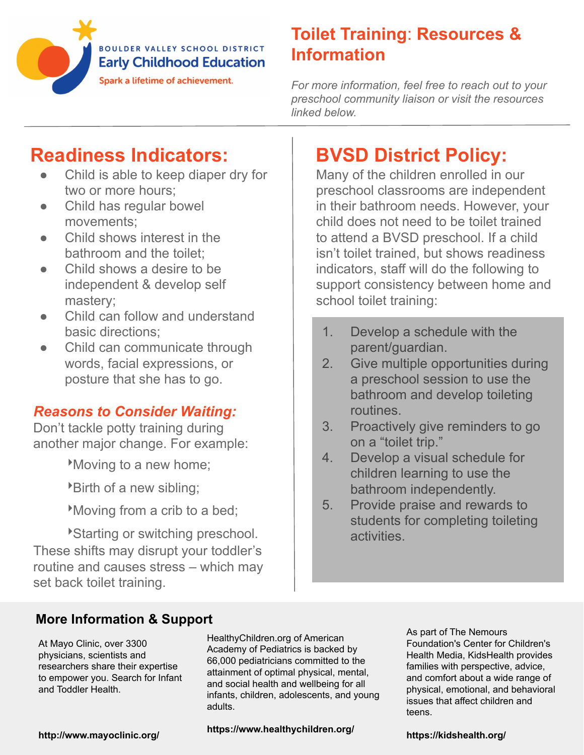

# **Toilet Training**: **Resources & Information**

*For more information, feel free to reach out to your preschool community liaison or visit the resources linked below.*

# **Readiness Indicators:**

- Child is able to keep diaper dry for two or more hours;
- Child has regular bowel movements;
- Child shows interest in the bathroom and the toilet;
- Child shows a desire to be independent & develop self mastery;
- Child can follow and understand basic directions;
- Child can communicate through words, facial expressions, or posture that she has to go.

# *Reasons to Consider Waiting:*

Don't tackle potty training during another major change. For example:

‣Moving to a new home;

‣Birth of a new sibling;

‣Moving from a crib to a bed;

‣Starting or switching preschool. These shifts may disrupt your toddler's routine and causes stress – which may set back toilet training.

# **BVSD District Policy:**

Many of the children enrolled in our preschool classrooms are independent in their bathroom needs. However, your child does not need to be toilet trained to attend a BVSD preschool. If a child isn't toilet trained, but shows readiness indicators, staff will do the following to support consistency between home and school toilet training:

- 1. Develop a schedule with the parent/guardian.
- 2. Give multiple opportunities during a preschool session to use the bathroom and develop toileting routines.
- 3. Proactively give reminders to go on a "toilet trip."
- 4. Develop a visual schedule for children learning to use the bathroom independently.
- 5. Provide praise and rewards to students for completing toileting activities.

### **More Information & Support**

At Mayo Clinic, over 3300 physicians, scientists and researchers share their expertise to empower you. Search for Infant and Toddler Health.

HealthyChildren.org of American Academy of Pediatrics is backed by 66 ,000 pediatricians committed to the attainment of optimal physical, mental, and social health and wellbeing for all infants, children, adolescents, and young adults.

**https://www.healthychildren.org/**

As part of The Nemours Foundation's Center for Children's Health Media, KidsHealth provides families with perspective, advice, and comfort about a wide range of physical, emotional, and behavioral issues that affect children and teens.

**http://www.mayoclinic.org/**

**https://kidshealth.org/**